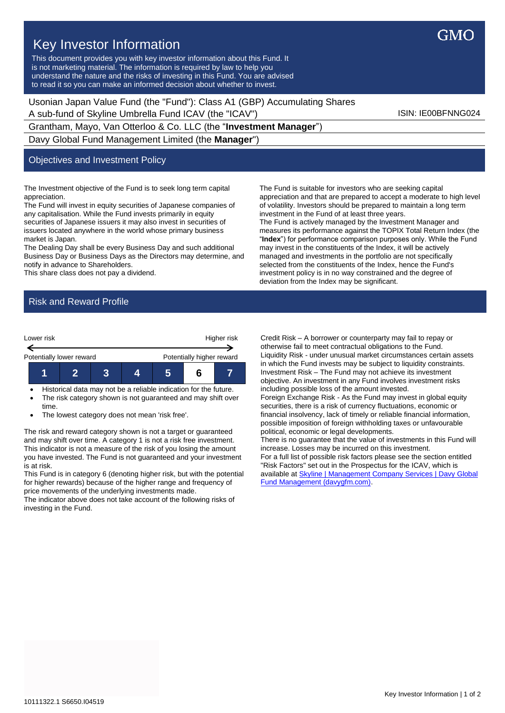# Key Investor Information

This document provides you with key investor information about this Fund. It is not marketing material. The information is required by law to help you understand the nature and the risks of investing in this Fund. You are advised to read it so you can make an informed decision about whether to invest.

Usonian Japan Value Fund (the "Fund"): Class A1 (GBP) Accumulating Shares A sub-fund of Skyline Umbrella Fund ICAV (the "ICAV") ISIN: IE00BFNNG024

Grantham, Mayo, Van Otterloo & Co. LLC (the "**Investment Manager**") Davy Global Fund Management Limited (the **Manager**")

### Objectives and Investment Policy

The Investment objective of the Fund is to seek long term capital appreciation.

The Fund will invest in equity securities of Japanese companies of any capitalisation. While the Fund invests primarily in equity securities of Japanese issuers it may also invest in securities of issuers located anywhere in the world whose primary business market is Japan.

The Dealing Day shall be every Business Day and such additional Business Day or Business Days as the Directors may determine, and notify in advance to Shareholders.

This share class does not pay a dividend.

The Fund is suitable for investors who are seeking capital appreciation and that are prepared to accept a moderate to high level of volatility. Investors should be prepared to maintain a long term investment in the Fund of at least three years. The Fund is actively managed by the Investment Manager and measures its performance against the TOPIX Total Return Index (the "**Index**") for performance comparison purposes only. While the Fund may invest in the constituents of the Index, it will be actively managed and investments in the portfolio are not specifically selected from the constituents of the Index, hence the Fund's investment policy is in no way constrained and the degree of deviation from the Index may be significant.

# Risk and Reward Profile



• Historical data may not be a reliable indication for the future. • The risk category shown is not guaranteed and may shift over time.

• The lowest category does not mean 'risk free'.

The risk and reward category shown is not a target or guaranteed and may shift over time. A category 1 is not a risk free investment. This indicator is not a measure of the risk of you losing the amount you have invested. The Fund is not guaranteed and your investment is at risk.

This Fund is in category 6 (denoting higher risk, but with the potential for higher rewards) because of the higher range and frequency of price movements of the underlying investments made.

The indicator above does not take account of the following risks of investing in the Fund.

Credit Risk – A borrower or counterparty may fail to repay or otherwise fail to meet contractual obligations to the Fund. Liquidity Risk - under unusual market circumstances certain assets in which the Fund invests may be subject to liquidity constraints. Investment Risk – The Fund may not achieve its investment objective. An investment in any Fund involves investment risks including possible loss of the amount invested.

Foreign Exchange Risk - As the Fund may invest in global equity securities, there is a risk of currency fluctuations, economic or financial insolvency, lack of timely or reliable financial information, possible imposition of foreign withholding taxes or unfavourable political, economic or legal developments.

There is no guarantee that the value of investments in this Fund will increase. Losses may be incurred on this investment. For a full list of possible risk factors please see the section entitled "Risk Factors" set out in the Prospectus for the ICAV, which is available a[t Skyline | Management Company Services | Davy Global](https://www.davygfm.com/funds-factsheets/management-company-services/ireland/skyline.html)  [Fund Management \(davygfm.com\).](https://www.davygfm.com/funds-factsheets/management-company-services/ireland/skyline.html)